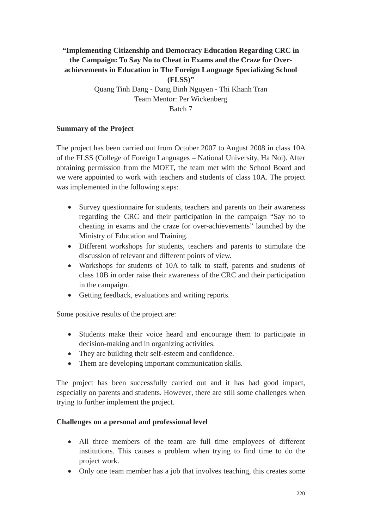# **"Implementing Citizenship and Democracy Education Regarding CRC in the Campaign: To Say No to Cheat in Exams and the Craze for Overachievements in Education in The Foreign Language Specializing School (FLSS)"** Quang Tinh Dang - Dang Binh Nguyen - Thi Khanh Tran

Team Mentor: Per Wickenberg Batch 7

## **Summary of the Project**

The project has been carried out from October 2007 to August 2008 in class 10A of the FLSS (College of Foreign Languages – National University, Ha Noi). After obtaining permission from the MOET, the team met with the School Board and we were appointed to work with teachers and students of class 10A. The project was implemented in the following steps:

- Survey questionnaire for students, teachers and parents on their awareness regarding the CRC and their participation in the campaign "Say no to cheating in exams and the craze for over-achievements" launched by the Ministry of Education and Training.
- Different workshops for students, teachers and parents to stimulate the discussion of relevant and different points of view.
- Workshops for students of 10A to talk to staff, parents and students of class 10B in order raise their awareness of the CRC and their participation in the campaign.
- Getting feedback, evaluations and writing reports.

Some positive results of the project are:

- Students make their voice heard and encourage them to participate in decision-making and in organizing activities.
- They are building their self-esteem and confidence.
- Them are developing important communication skills.

The project has been successfully carried out and it has had good impact, especially on parents and students. However, there are still some challenges when trying to further implement the project.

### **Challenges on a personal and professional level**

- All three members of the team are full time employees of different institutions. This causes a problem when trying to find time to do the project work.
- Only one team member has a job that involves teaching, this creates some